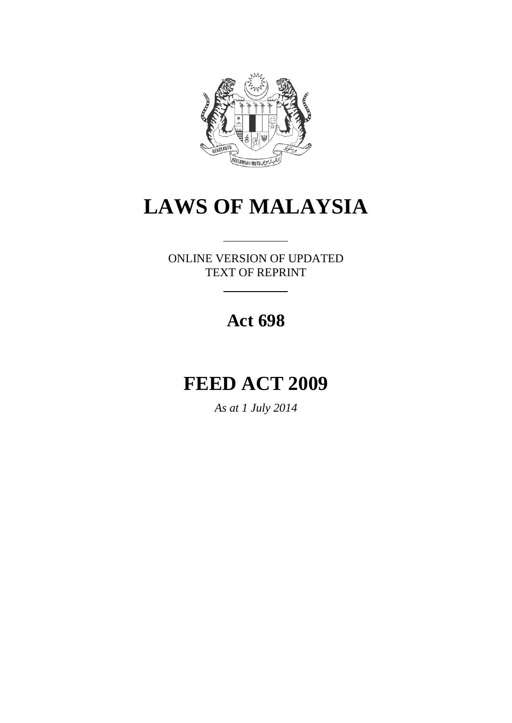

# **LAWS OF MALAYSIA**

ONLINE VERSION OF UPDATED TEXT OF REPRINT

# **Act 698**

# **FEED ACT 2009**

*As at 1 July 2014*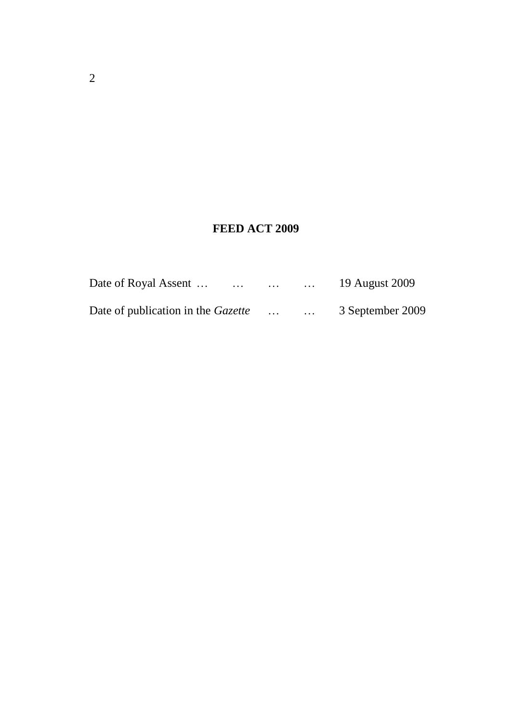# **FEED ACT 2009**

| Date of Royal Assent<br>$\cdots$          | $\cdots$ | $\cdots$ | 19 August 2009   |
|-------------------------------------------|----------|----------|------------------|
| Date of publication in the <i>Gazette</i> | $\cdots$ | $\ddots$ | 3 September 2009 |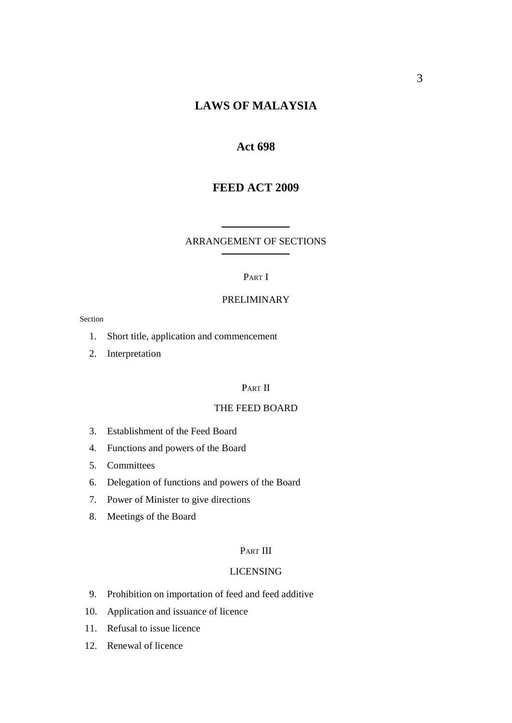## **LAWS OF MALAYSIA**

#### **Act 698**

## **FEED ACT 2009**

#### ARRANGEMENT OF SECTIONS

#### PART I

#### PRELIMINARY

Section

- 1. Short title, application and commencement
- 2. Interpretation

#### PART II

#### THE FEED BOARD

- 3. Establishment of the Feed Board
- 4. Functions and powers of the Board
- 5. Committees
- 6. Delegation of functions and powers of the Board
- 7. Power of Minister to give directions
- 8. Meetings of the Board

#### PART III

#### LICENSING

- 9. Prohibition on importation of feed and feed additive
- 10. Application and issuance of licence
- 11. Refusal to issue licence
- 12. Renewal of licence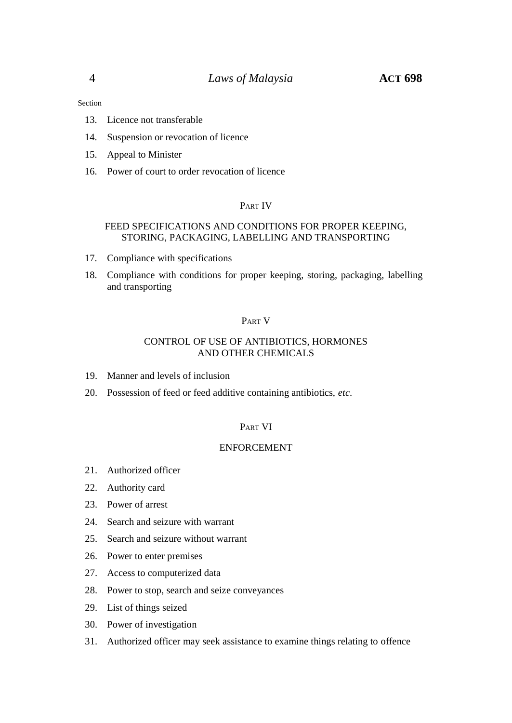Section

- 13. Licence not transferable
- 14. Suspension or revocation of licence
- 15. Appeal to Minister
- 16. Power of court to order revocation of licence

#### PART IV

#### FEED SPECIFICATIONS AND CONDITIONS FOR PROPER KEEPING, STORING, PACKAGING, LABELLING AND TRANSPORTING

- 17. Compliance with specifications
- 18. Compliance with conditions for proper keeping, storing, packaging, labelling and transporting

#### PART V

#### CONTROL OF USE OF ANTIBIOTICS, HORMONES AND OTHER CHEMICALS

- 19. Manner and levels of inclusion
- 20. Possession of feed or feed additive containing antibiotics, *etc*.

#### PART VI

#### ENFORCEMENT

- 21. Authorized officer
- 22. Authority card
- 23. Power of arrest
- 24. Search and seizure with warrant
- 25. Search and seizure without warrant
- 26. Power to enter premises
- 27. Access to computerized data
- 28. Power to stop, search and seize conveyances
- 29. List of things seized
- 30. Power of investigation
- 31. Authorized officer may seek assistance to examine things relating to offence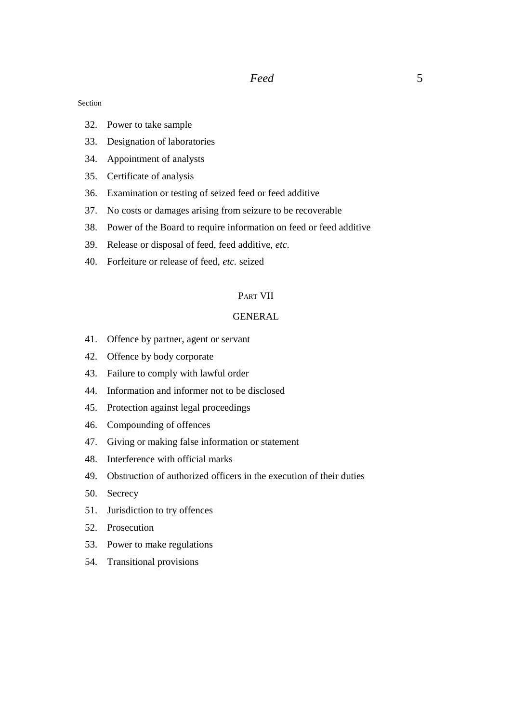Section

- 32. Power to take sample
- 33. Designation of laboratories
- 34. Appointment of analysts
- 35. Certificate of analysis
- 36. Examination or testing of seized feed or feed additive
- 37. No costs or damages arising from seizure to be recoverable
- 38. Power of the Board to require information on feed or feed additive
- 39. Release or disposal of feed, feed additive, *etc*.
- 40. Forfeiture or release of feed, *etc.* seized

#### PART VII

#### GENERAL

- 41. Offence by partner, agent or servant
- 42. Offence by body corporate
- 43. Failure to comply with lawful order
- 44. Information and informer not to be disclosed
- 45. Protection against legal proceedings
- 46. Compounding of offences
- 47. Giving or making false information or statement
- 48. Interference with official marks
- 49. Obstruction of authorized officers in the execution of their duties
- 50. Secrecy
- 51. Jurisdiction to try offences
- 52. Prosecution
- 53. Power to make regulations
- 54. Transitional provisions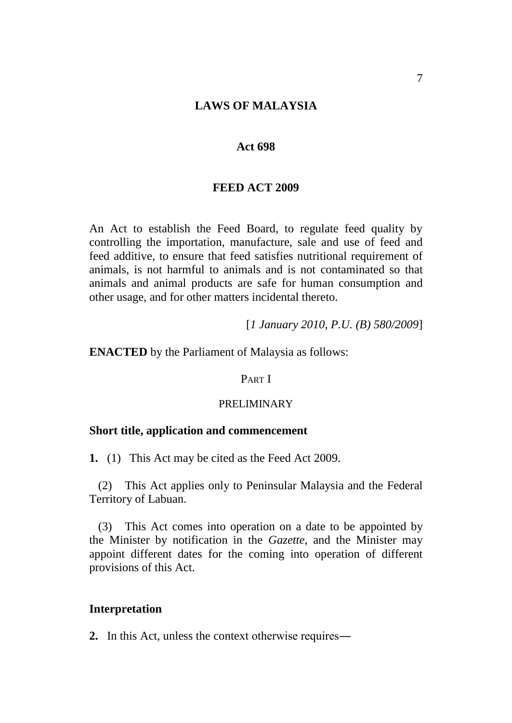#### **LAWS OF MALAYSIA**

#### **Act 698**

#### **FEED ACT 2009**

An Act to establish the Feed Board, to regulate feed quality by controlling the importation, manufacture, sale and use of feed and feed additive, to ensure that feed satisfies nutritional requirement of animals, is not harmful to animals and is not contaminated so that animals and animal products are safe for human consumption and other usage, and for other matters incidental thereto.

[*1 January 2010, P.U. (B) 580/2009*]

#### **ENACTED** by the Parliament of Malaysia as follows:

#### PART I

#### PRELIMINARY

## **Short title, application and commencement**

**1.** (1) This Act may be cited as the Feed Act 2009.

(2) This Act applies only to Peninsular Malaysia and the Federal Territory of Labuan.

(3) This Act comes into operation on a date to be appointed by the Minister by notification in the *Gazette*, and the Minister may appoint different dates for the coming into operation of different provisions of this Act.

#### **Interpretation**

**2.** In this Act, unless the context otherwise requires―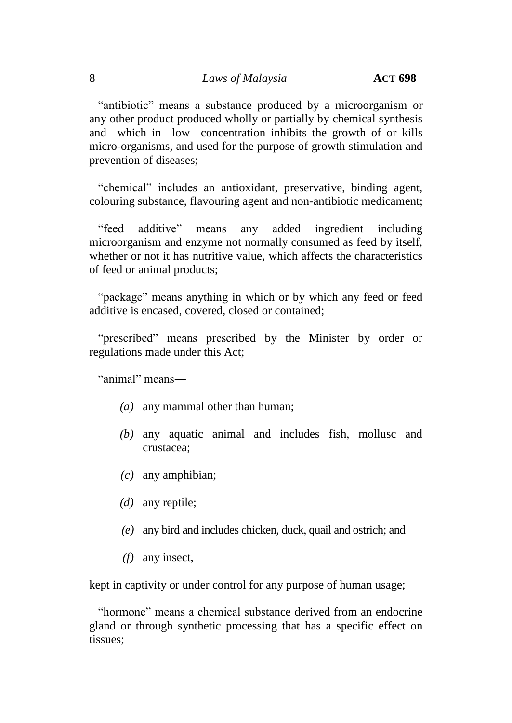"antibiotic" means a substance produced by a microorganism or any other product produced wholly or partially by chemical synthesis and which in low concentration inhibits the growth of or kills micro-organisms, and used for the purpose of growth stimulation and prevention of diseases;

"chemical" includes an antioxidant, preservative, binding agent, colouring substance, flavouring agent and non-antibiotic medicament;

"feed additive" means any added ingredient including microorganism and enzyme not normally consumed as feed by itself, whether or not it has nutritive value, which affects the characteristics of feed or animal products;

"package" means anything in which or by which any feed or feed additive is encased, covered, closed or contained;

"prescribed" means prescribed by the Minister by order or regulations made under this Act;

"animal" means―

- *(a)* any mammal other than human;
- *(b)* any aquatic animal and includes fish, mollusc and crustacea;
- *(c)* any amphibian;
- *(d)* any reptile;
- *(e)* any bird and includes chicken, duck, quail and ostrich; and
- *(f)* any insect,

kept in captivity or under control for any purpose of human usage;

"hormone" means a chemical substance derived from an endocrine gland or through synthetic processing that has a specific effect on tissues;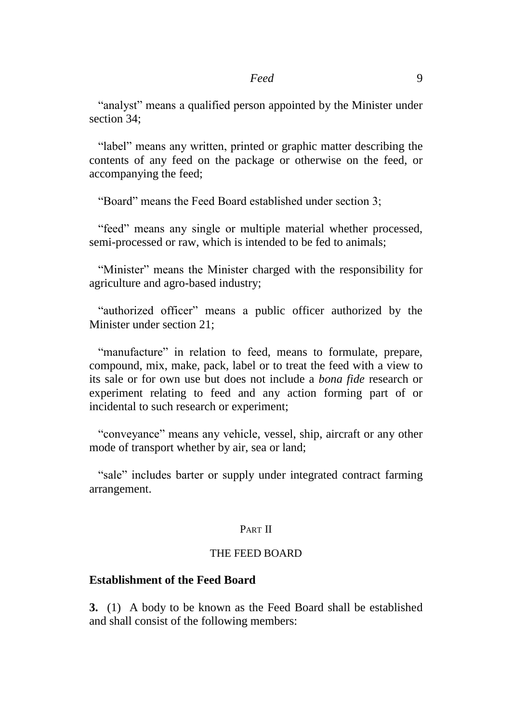"analyst" means a qualified person appointed by the Minister under section 34;

"label" means any written, printed or graphic matter describing the contents of any feed on the package or otherwise on the feed, or accompanying the feed;

"Board" means the Feed Board established under section 3;

"feed" means any single or multiple material whether processed, semi-processed or raw, which is intended to be fed to animals;

"Minister" means the Minister charged with the responsibility for agriculture and agro-based industry;

"authorized officer" means a public officer authorized by the Minister under section 21;

"manufacture" in relation to feed, means to formulate, prepare, compound, mix, make, pack, label or to treat the feed with a view to its sale or for own use but does not include a *bona fide* research or experiment relating to feed and any action forming part of or incidental to such research or experiment;

"conveyance" means any vehicle, vessel, ship, aircraft or any other mode of transport whether by air, sea or land;

"sale" includes barter or supply under integrated contract farming arrangement.

#### PART II

#### THE FEED BOARD

## **Establishment of the Feed Board**

**3.** (1) A body to be known as the Feed Board shall be established and shall consist of the following members: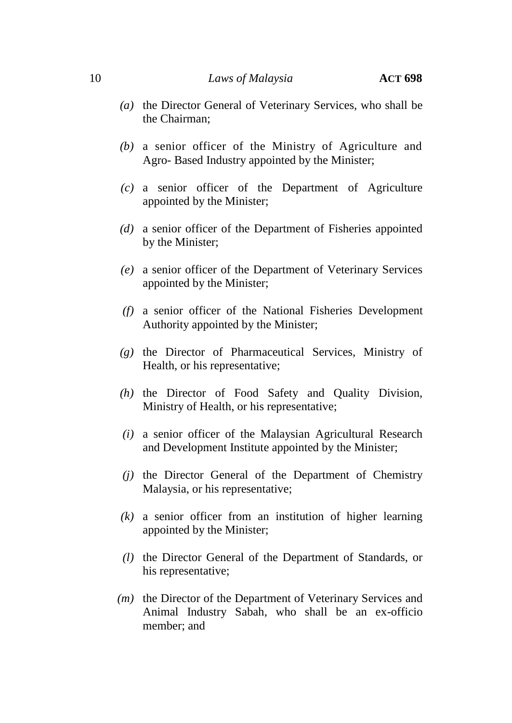- *(a)* the Director General of Veterinary Services, who shall be the Chairman;
- *(b)* a senior officer of the Ministry of Agriculture and Agro- Based Industry appointed by the Minister;
- *(c)* a senior officer of the Department of Agriculture appointed by the Minister;
- *(d)* a senior officer of the Department of Fisheries appointed by the Minister;
- *(e)* a senior officer of the Department of Veterinary Services appointed by the Minister;
- *(f)* a senior officer of the National Fisheries Development Authority appointed by the Minister;
- *(g)* the Director of Pharmaceutical Services, Ministry of Health, or his representative;
- *(h)* the Director of Food Safety and Quality Division, Ministry of Health, or his representative;
- *(i)* a senior officer of the Malaysian Agricultural Research and Development Institute appointed by the Minister;
- *(j)* the Director General of the Department of Chemistry Malaysia, or his representative;
- *(k)* a senior officer from an institution of higher learning appointed by the Minister;
- *(l)* the Director General of the Department of Standards, or his representative;
- *(m)* the Director of the Department of Veterinary Services and Animal Industry Sabah, who shall be an ex-officio member; and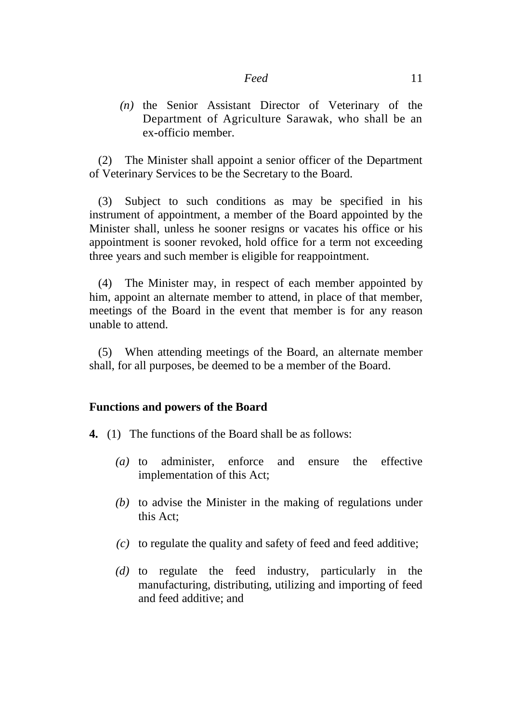*(n)* the Senior Assistant Director of Veterinary of the Department of Agriculture Sarawak, who shall be an ex-officio member.

(2) The Minister shall appoint a senior officer of the Department of Veterinary Services to be the Secretary to the Board.

(3) Subject to such conditions as may be specified in his instrument of appointment, a member of the Board appointed by the Minister shall, unless he sooner resigns or vacates his office or his appointment is sooner revoked, hold office for a term not exceeding three years and such member is eligible for reappointment.

(4) The Minister may, in respect of each member appointed by him, appoint an alternate member to attend, in place of that member, meetings of the Board in the event that member is for any reason unable to attend.

(5) When attending meetings of the Board, an alternate member shall, for all purposes, be deemed to be a member of the Board.

#### **Functions and powers of the Board**

- **4.** (1) The functions of the Board shall be as follows:
	- *(a)* to administer, enforce and ensure the effective implementation of this Act;
	- *(b)* to advise the Minister in the making of regulations under this Act;
	- *(c)* to regulate the quality and safety of feed and feed additive;
	- *(d)* to regulate the feed industry, particularly in the manufacturing, distributing, utilizing and importing of feed and feed additive; and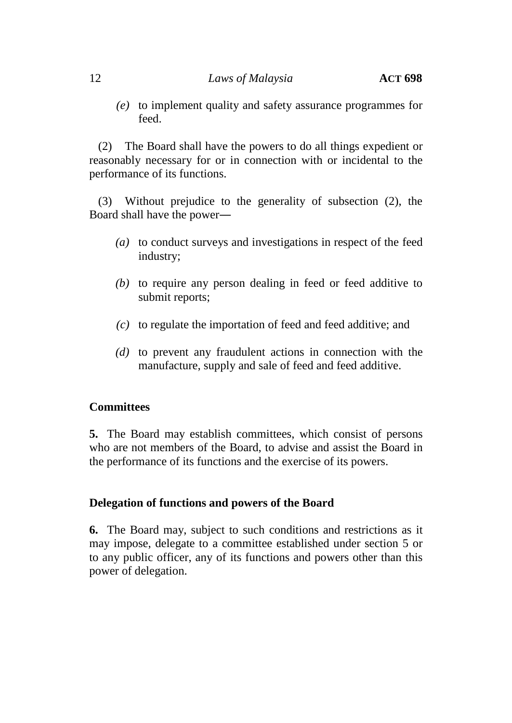*(e)* to implement quality and safety assurance programmes for feed.

(2) The Board shall have the powers to do all things expedient or reasonably necessary for or in connection with or incidental to the performance of its functions.

(3) Without prejudice to the generality of subsection (2), the Board shall have the power―

- *(a)* to conduct surveys and investigations in respect of the feed industry;
- *(b)* to require any person dealing in feed or feed additive to submit reports;
- *(c)* to regulate the importation of feed and feed additive; and
- *(d)* to prevent any fraudulent actions in connection with the manufacture, supply and sale of feed and feed additive.

## **Committees**

**5.** The Board may establish committees, which consist of persons who are not members of the Board, to advise and assist the Board in the performance of its functions and the exercise of its powers.

## **Delegation of functions and powers of the Board**

**6.** The Board may, subject to such conditions and restrictions as it may impose, delegate to a committee established under section 5 or to any public officer, any of its functions and powers other than this power of delegation.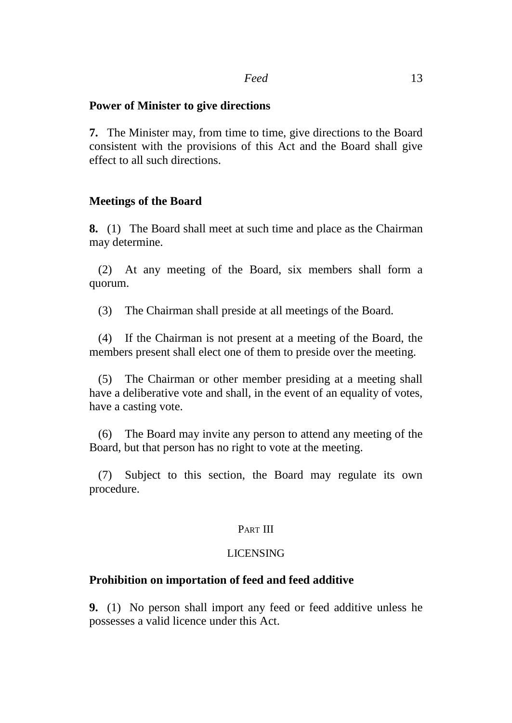#### **Power of Minister to give directions**

**7.** The Minister may, from time to time, give directions to the Board consistent with the provisions of this Act and the Board shall give effect to all such directions.

## **Meetings of the Board**

**8.** (1) The Board shall meet at such time and place as the Chairman may determine.

(2) At any meeting of the Board, six members shall form a quorum.

(3) The Chairman shall preside at all meetings of the Board.

(4) If the Chairman is not present at a meeting of the Board, the members present shall elect one of them to preside over the meeting.

(5) The Chairman or other member presiding at a meeting shall have a deliberative vote and shall, in the event of an equality of votes, have a casting vote.

(6) The Board may invite any person to attend any meeting of the Board, but that person has no right to vote at the meeting.

(7) Subject to this section, the Board may regulate its own procedure.

#### PART III

#### LICENSING

## **Prohibition on importation of feed and feed additive**

**9.** (1) No person shall import any feed or feed additive unless he possesses a valid licence under this Act.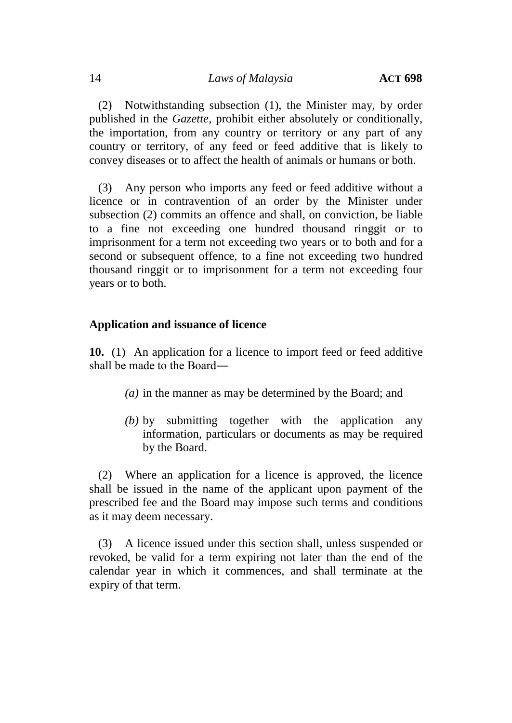(2) Notwithstanding subsection (1), the Minister may, by order published in the *Gazette*, prohibit either absolutely or conditionally, the importation, from any country or territory or any part of any country or territory, of any feed or feed additive that is likely to convey diseases or to affect the health of animals or humans or both.

(3) Any person who imports any feed or feed additive without a licence or in contravention of an order by the Minister under subsection (2) commits an offence and shall, on conviction, be liable to a fine not exceeding one hundred thousand ringgit or to imprisonment for a term not exceeding two years or to both and for a second or subsequent offence, to a fine not exceeding two hundred thousand ringgit or to imprisonment for a term not exceeding four years or to both.

## **Application and issuance of licence**

**10.** (1) An application for a licence to import feed or feed additive shall be made to the Board―

- *(a)* in the manner as may be determined by the Board; and
- *(b)* by submitting together with the application any information, particulars or documents as may be required by the Board.

(2) Where an application for a licence is approved, the licence shall be issued in the name of the applicant upon payment of the prescribed fee and the Board may impose such terms and conditions as it may deem necessary.

(3) A licence issued under this section shall, unless suspended or revoked, be valid for a term expiring not later than the end of the calendar year in which it commences, and shall terminate at the expiry of that term.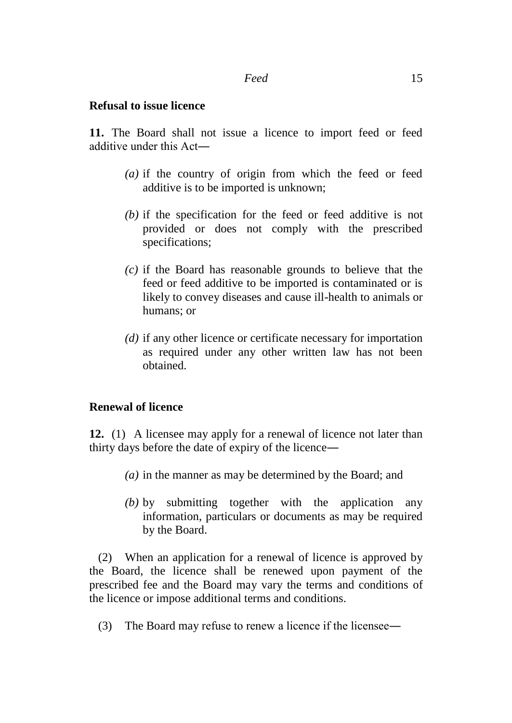#### **Refusal to issue licence**

**11.** The Board shall not issue a licence to import feed or feed additive under this Act―

- *(a)* if the country of origin from which the feed or feed additive is to be imported is unknown;
- *(b)* if the specification for the feed or feed additive is not provided or does not comply with the prescribed specifications;
- *(c)* if the Board has reasonable grounds to believe that the feed or feed additive to be imported is contaminated or is likely to convey diseases and cause ill-health to animals or humans; or
- *(d)* if any other licence or certificate necessary for importation as required under any other written law has not been obtained.

## **Renewal of licence**

**12.** (1) A licensee may apply for a renewal of licence not later than thirty days before the date of expiry of the licence―

- *(a)* in the manner as may be determined by the Board; and
- *(b)* by submitting together with the application any information, particulars or documents as may be required by the Board.

(2) When an application for a renewal of licence is approved by the Board, the licence shall be renewed upon payment of the prescribed fee and the Board may vary the terms and conditions of the licence or impose additional terms and conditions.

(3) The Board may refuse to renew a licence if the licensee―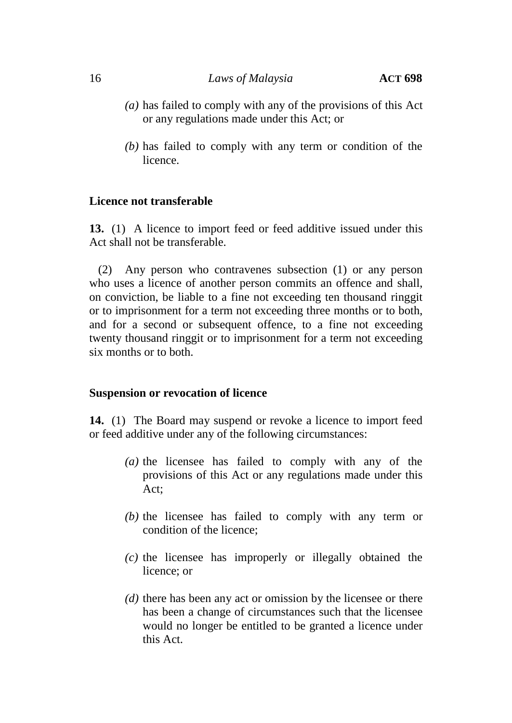#### 16 *Laws of Malaysia* **ACT 698**

- *(a)* has failed to comply with any of the provisions of this Act or any regulations made under this Act; or
- *(b)* has failed to comply with any term or condition of the licence.

#### **Licence not transferable**

**13.** (1) A licence to import feed or feed additive issued under this Act shall not be transferable.

(2) Any person who contravenes subsection (1) or any person who uses a licence of another person commits an offence and shall, on conviction, be liable to a fine not exceeding ten thousand ringgit or to imprisonment for a term not exceeding three months or to both, and for a second or subsequent offence, to a fine not exceeding twenty thousand ringgit or to imprisonment for a term not exceeding six months or to both.

#### **Suspension or revocation of licence**

**14.** (1) The Board may suspend or revoke a licence to import feed or feed additive under any of the following circumstances:

- *(a)* the licensee has failed to comply with any of the provisions of this Act or any regulations made under this Act;
- *(b)* the licensee has failed to comply with any term or condition of the licence;
- *(c)* the licensee has improperly or illegally obtained the licence; or
- *(d)* there has been any act or omission by the licensee or there has been a change of circumstances such that the licensee would no longer be entitled to be granted a licence under this Act.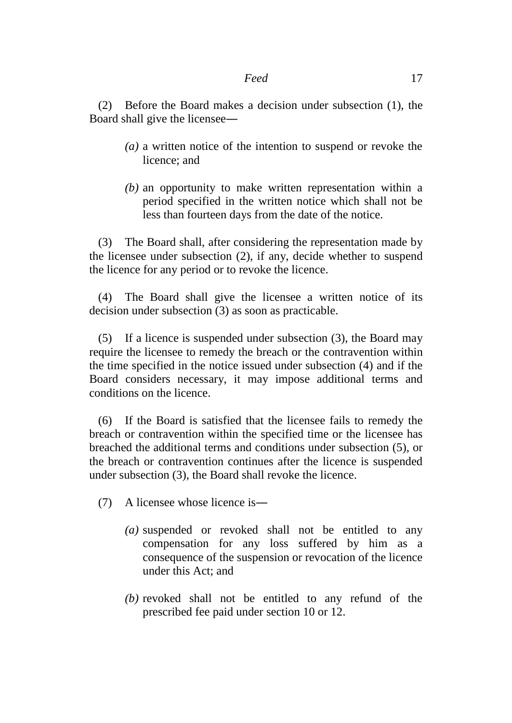(2) Before the Board makes a decision under subsection (1), the Board shall give the licensee―

- *(a)* a written notice of the intention to suspend or revoke the licence; and
- *(b)* an opportunity to make written representation within a period specified in the written notice which shall not be less than fourteen days from the date of the notice.

(3) The Board shall, after considering the representation made by the licensee under subsection (2), if any, decide whether to suspend the licence for any period or to revoke the licence.

(4) The Board shall give the licensee a written notice of its decision under subsection (3) as soon as practicable.

(5) If a licence is suspended under subsection (3), the Board may require the licensee to remedy the breach or the contravention within the time specified in the notice issued under subsection (4) and if the Board considers necessary, it may impose additional terms and conditions on the licence.

(6) If the Board is satisfied that the licensee fails to remedy the breach or contravention within the specified time or the licensee has breached the additional terms and conditions under subsection (5), or the breach or contravention continues after the licence is suspended under subsection (3), the Board shall revoke the licence.

- (7) A licensee whose licence is―
	- *(a)* suspended or revoked shall not be entitled to any compensation for any loss suffered by him as a consequence of the suspension or revocation of the licence under this Act; and
	- *(b)* revoked shall not be entitled to any refund of the prescribed fee paid under section 10 or 12.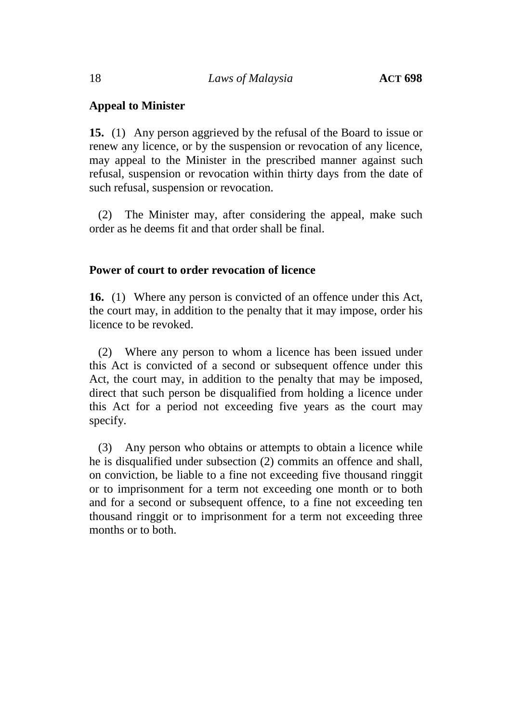## **Appeal to Minister**

**15.** (1) Any person aggrieved by the refusal of the Board to issue or renew any licence, or by the suspension or revocation of any licence, may appeal to the Minister in the prescribed manner against such refusal, suspension or revocation within thirty days from the date of such refusal, suspension or revocation.

(2) The Minister may, after considering the appeal, make such order as he deems fit and that order shall be final.

## **Power of court to order revocation of licence**

**16.** (1) Where any person is convicted of an offence under this Act, the court may, in addition to the penalty that it may impose, order his licence to be revoked.

(2) Where any person to whom a licence has been issued under this Act is convicted of a second or subsequent offence under this Act, the court may, in addition to the penalty that may be imposed, direct that such person be disqualified from holding a licence under this Act for a period not exceeding five years as the court may specify.

(3) Any person who obtains or attempts to obtain a licence while he is disqualified under subsection (2) commits an offence and shall, on conviction, be liable to a fine not exceeding five thousand ringgit or to imprisonment for a term not exceeding one month or to both and for a second or subsequent offence, to a fine not exceeding ten thousand ringgit or to imprisonment for a term not exceeding three months or to both.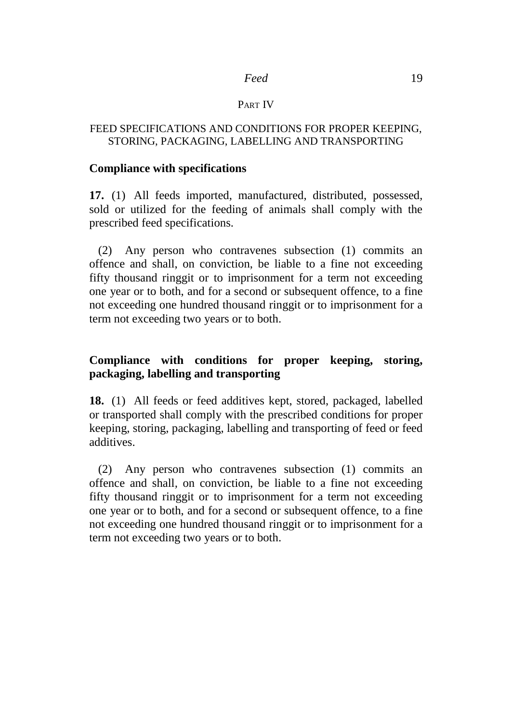#### PART IV

#### FEED SPECIFICATIONS AND CONDITIONS FOR PROPER KEEPING, STORING, PACKAGING, LABELLING AND TRANSPORTING

#### **Compliance with specifications**

**17.** (1) All feeds imported, manufactured, distributed, possessed, sold or utilized for the feeding of animals shall comply with the prescribed feed specifications.

(2) Any person who contravenes subsection (1) commits an offence and shall, on conviction, be liable to a fine not exceeding fifty thousand ringgit or to imprisonment for a term not exceeding one year or to both, and for a second or subsequent offence, to a fine not exceeding one hundred thousand ringgit or to imprisonment for a term not exceeding two years or to both.

## **Compliance with conditions for proper keeping, storing, packaging, labelling and transporting**

**18.** (1) All feeds or feed additives kept, stored, packaged, labelled or transported shall comply with the prescribed conditions for proper keeping, storing, packaging, labelling and transporting of feed or feed additives.

(2) Any person who contravenes subsection (1) commits an offence and shall*,* on conviction, be liable to a fine not exceeding fifty thousand ringgit or to imprisonment for a term not exceeding one year or to both, and for a second or subsequent offence, to a fine not exceeding one hundred thousand ringgit or to imprisonment for a term not exceeding two years or to both.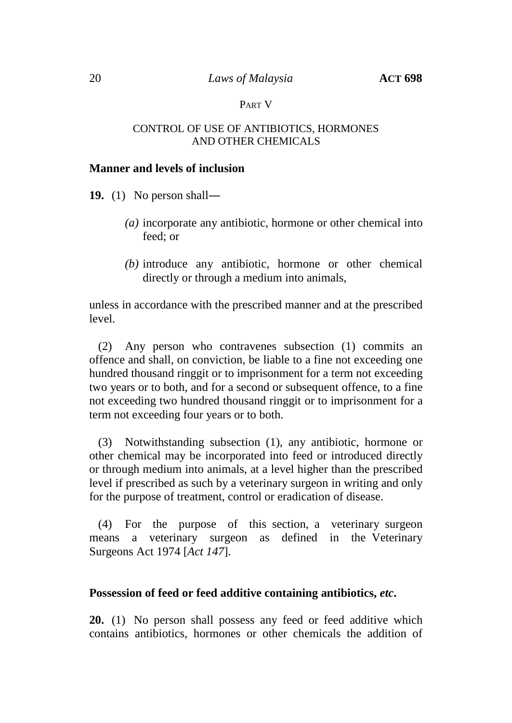#### PART V

#### CONTROL OF USE OF ANTIBIOTICS, HORMONES AND OTHER CHEMICALS

#### **Manner and levels of inclusion**

**19.** (1) No person shall―

- *(a)* incorporate any antibiotic, hormone or other chemical into feed; or
- *(b)* introduce any antibiotic, hormone or other chemical directly or through a medium into animals,

unless in accordance with the prescribed manner and at the prescribed level.

(2) Any person who contravenes subsection (1) commits an offence and shall, on conviction, be liable to a fine not exceeding one hundred thousand ringgit or to imprisonment for a term not exceeding two years or to both, and for a second or subsequent offence, to a fine not exceeding two hundred thousand ringgit or to imprisonment for a term not exceeding four years or to both.

(3) Notwithstanding subsection (1), any antibiotic, hormone or other chemical may be incorporated into feed or introduced directly or through medium into animals, at a level higher than the prescribed level if prescribed as such by a veterinary surgeon in writing and only for the purpose of treatment, control or eradication of disease.

(4) For the purpose of this section, a veterinary surgeon means a veterinary surgeon as defined in the Veterinary Surgeons Act 1974 [*Act 147*].

## **Possession of feed or feed additive containing antibiotics,** *etc***.**

**20.** (1) No person shall possess any feed or feed additive which contains antibiotics, hormones or other chemicals the addition of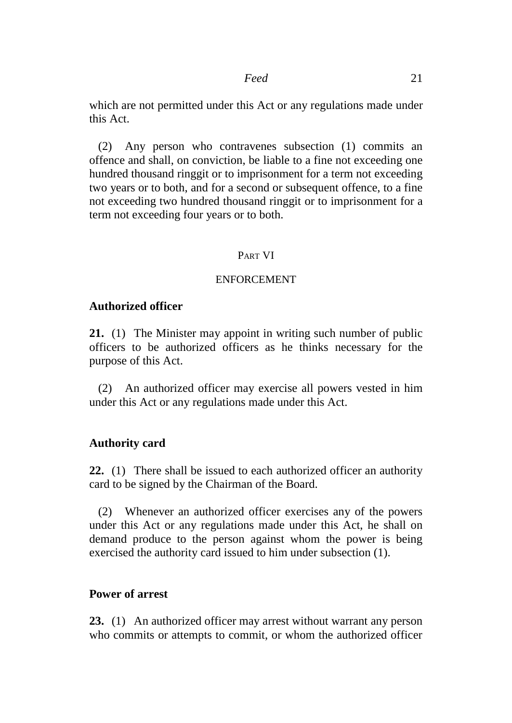which are not permitted under this Act or any regulations made under this Act.

(2) Any person who contravenes subsection (1) commits an offence and shall, on conviction, be liable to a fine not exceeding one hundred thousand ringgit or to imprisonment for a term not exceeding two years or to both, and for a second or subsequent offence, to a fine not exceeding two hundred thousand ringgit or to imprisonment for a term not exceeding four years or to both.

#### PART VI

#### ENFORCEMENT

#### **Authorized officer**

**21.** (1) The Minister may appoint in writing such number of public officers to be authorized officers as he thinks necessary for the purpose of this Act.

(2) An authorized officer may exercise all powers vested in him under this Act or any regulations made under this Act.

#### **Authority card**

**22.** (1) There shall be issued to each authorized officer an authority card to be signed by the Chairman of the Board.

(2) Whenever an authorized officer exercises any of the powers under this Act or any regulations made under this Act, he shall on demand produce to the person against whom the power is being exercised the authority card issued to him under subsection (1).

#### **Power of arrest**

**23.** (1) An authorized officer may arrest without warrant any person who commits or attempts to commit, or whom the authorized officer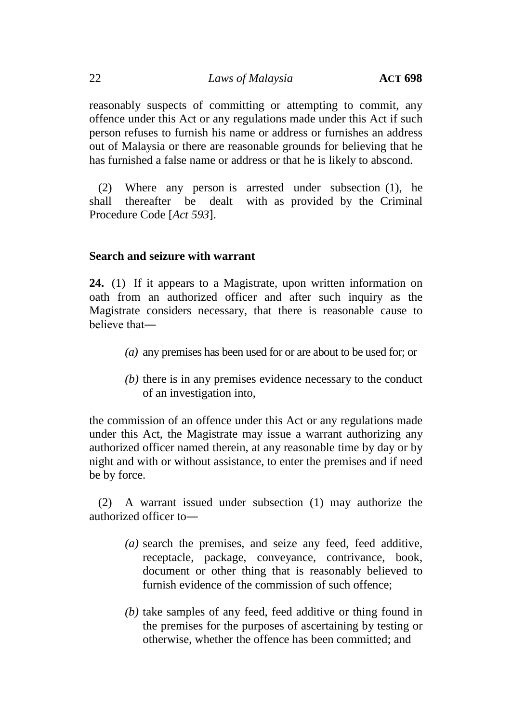reasonably suspects of committing or attempting to commit, any offence under this Act or any regulations made under this Act if such person refuses to furnish his name or address or furnishes an address out of Malaysia or there are reasonable grounds for believing that he has furnished a false name or address or that he is likely to abscond.

(2) Where any person is arrested under subsection (1), he shall thereafter be dealt with as provided by the Criminal Procedure Code [*Act 593*].

## **Search and seizure with warrant**

**24.** (1) If it appears to a Magistrate, upon written information on oath from an authorized officer and after such inquiry as the Magistrate considers necessary, that there is reasonable cause to believe that―

- *(a)* any premises has been used for or are about to be used for; or
- *(b)* there is in any premises evidence necessary to the conduct of an investigation into,

the commission of an offence under this Act or any regulations made under this Act, the Magistrate may issue a warrant authorizing any authorized officer named therein, at any reasonable time by day or by night and with or without assistance, to enter the premises and if need be by force.

(2) A warrant issued under subsection (1) may authorize the authorized officer to―

- *(a)* search the premises, and seize any feed, feed additive, receptacle, package, conveyance, contrivance, book, document or other thing that is reasonably believed to furnish evidence of the commission of such offence;
- *(b)* take samples of any feed, feed additive or thing found in the premises for the purposes of ascertaining by testing or otherwise, whether the offence has been committed; and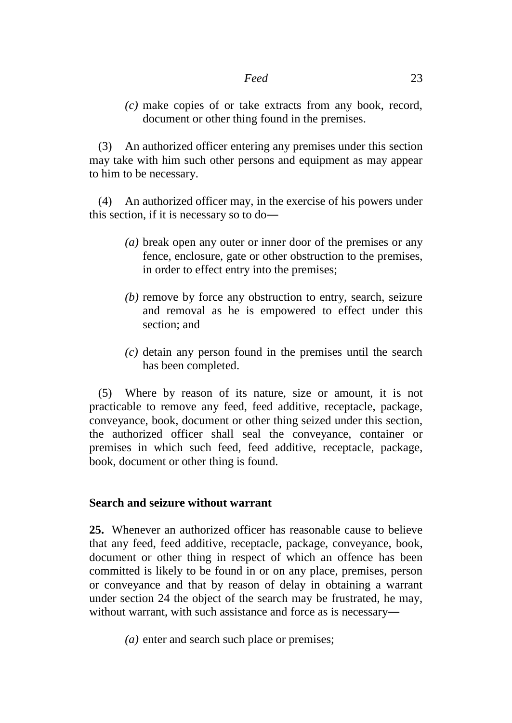*(c)* make copies of or take extracts from any book, record, document or other thing found in the premises.

(3) An authorized officer entering any premises under this section may take with him such other persons and equipment as may appear to him to be necessary.

(4) An authorized officer may, in the exercise of his powers under this section, if it is necessary so to do―

- *(a)* break open any outer or inner door of the premises or any fence, enclosure, gate or other obstruction to the premises, in order to effect entry into the premises;
- *(b)* remove by force any obstruction to entry, search, seizure and removal as he is empowered to effect under this section; and
- *(c)* detain any person found in the premises until the search has been completed.

(5) Where by reason of its nature, size or amount, it is not practicable to remove any feed, feed additive, receptacle, package, conveyance, book, document or other thing seized under this section, the authorized officer shall seal the conveyance, container or premises in which such feed, feed additive, receptacle, package, book, document or other thing is found.

## **Search and seizure without warrant**

**25.** Whenever an authorized officer has reasonable cause to believe that any feed, feed additive, receptacle, package, conveyance, book, document or other thing in respect of which an offence has been committed is likely to be found in or on any place, premises, person or conveyance and that by reason of delay in obtaining a warrant under section 24 the object of the search may be frustrated, he may, without warrant, with such assistance and force as is necessary—

*(a)* enter and search such place or premises;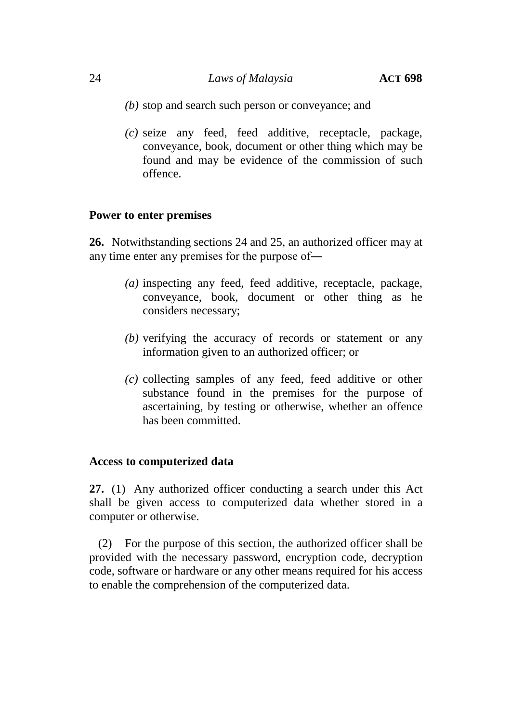## 24 *Laws of Malaysia* **ACT 698**

- *(b)* stop and search such person or conveyance; and
- *(c)* seize any feed, feed additive, receptacle, package, conveyance, book, document or other thing which may be found and may be evidence of the commission of such offence.

## **Power to enter premises**

**26.** Notwithstanding sections 24 and 25, an authorized officer may at any time enter any premises for the purpose of―

- *(a)* inspecting any feed, feed additive, receptacle, package, conveyance, book, document or other thing as he considers necessary;
- *(b)* verifying the accuracy of records or statement or any information given to an authorized officer; or
- *(c)* collecting samples of any feed, feed additive or other substance found in the premises for the purpose of ascertaining, by testing or otherwise, whether an offence has been committed.

## **Access to computerized data**

**27.** (1) Any authorized officer conducting a search under this Act shall be given access to computerized data whether stored in a computer or otherwise.

(2) For the purpose of this section, the authorized officer shall be provided with the necessary password, encryption code, decryption code, software or hardware or any other means required for his access to enable the comprehension of the computerized data.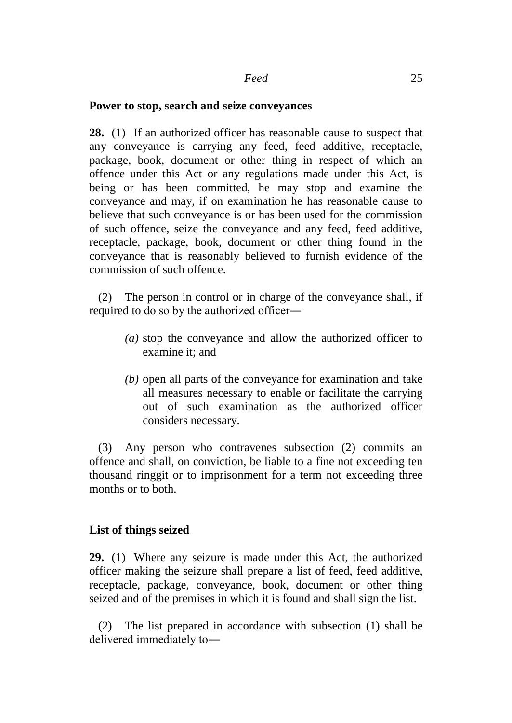#### **Power to stop, search and seize conveyances**

**28.** (1) If an authorized officer has reasonable cause to suspect that any conveyance is carrying any feed, feed additive, receptacle, package, book, document or other thing in respect of which an offence under this Act or any regulations made under this Act, is being or has been committed, he may stop and examine the conveyance and may, if on examination he has reasonable cause to believe that such conveyance is or has been used for the commission of such offence, seize the conveyance and any feed, feed additive, receptacle, package, book, document or other thing found in the conveyance that is reasonably believed to furnish evidence of the commission of such offence.

(2) The person in control or in charge of the conveyance shall, if required to do so by the authorized officer―

- *(a)* stop the conveyance and allow the authorized officer to examine it; and
- *(b)* open all parts of the conveyance for examination and take all measures necessary to enable or facilitate the carrying out of such examination as the authorized officer considers necessary.

(3) Any person who contravenes subsection (2) commits an offence and shall, on conviction, be liable to a fine not exceeding ten thousand ringgit or to imprisonment for a term not exceeding three months or to both.

## **List of things seized**

**29.** (1) Where any seizure is made under this Act, the authorized officer making the seizure shall prepare a list of feed, feed additive, receptacle, package, conveyance, book, document or other thing seized and of the premises in which it is found and shall sign the list.

(2) The list prepared in accordance with subsection (1) shall be delivered immediately to―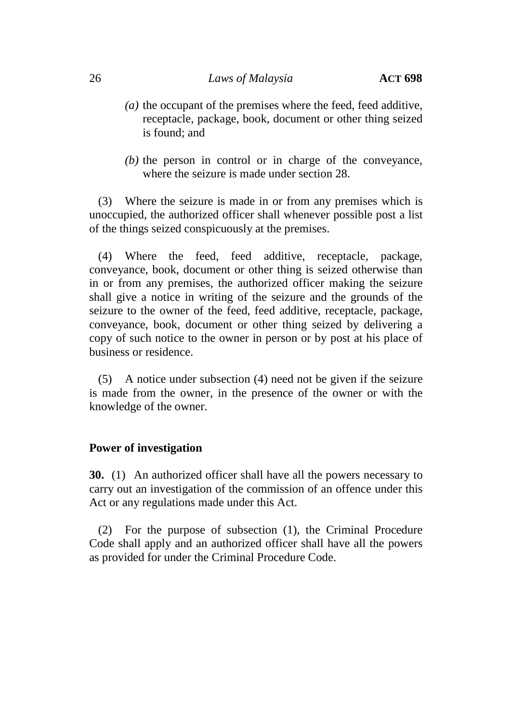- *(a)* the occupant of the premises where the feed, feed additive, receptacle, package, book, document or other thing seized is found; and
- *(b)* the person in control or in charge of the conveyance, where the seizure is made under section 28.

(3) Where the seizure is made in or from any premises which is unoccupied, the authorized officer shall whenever possible post a list of the things seized conspicuously at the premises.

(4) Where the feed, feed additive, receptacle, package, conveyance, book, document or other thing is seized otherwise than in or from any premises, the authorized officer making the seizure shall give a notice in writing of the seizure and the grounds of the seizure to the owner of the feed, feed additive, receptacle, package, conveyance, book, document or other thing seized by delivering a copy of such notice to the owner in person or by post at his place of business or residence.

(5) A notice under subsection (4) need not be given if the seizure is made from the owner, in the presence of the owner or with the knowledge of the owner.

#### **Power of investigation**

**30.** (1) An authorized officer shall have all the powers necessary to carry out an investigation of the commission of an offence under this Act or any regulations made under this Act.

(2) For the purpose of subsection (1), the Criminal Procedure Code shall apply and an authorized officer shall have all the powers as provided for under the Criminal Procedure Code.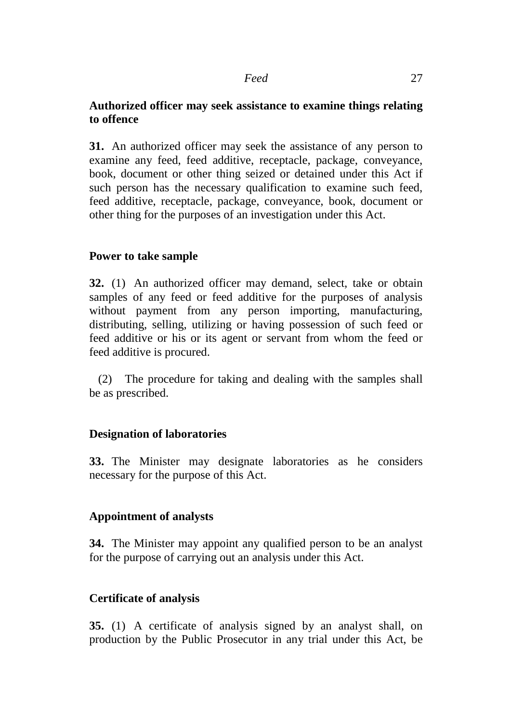## **Authorized officer may seek assistance to examine things relating to offence**

**31.** An authorized officer may seek the assistance of any person to examine any feed, feed additive, receptacle, package, conveyance, book, document or other thing seized or detained under this Act if such person has the necessary qualification to examine such feed, feed additive, receptacle, package, conveyance, book, document or other thing for the purposes of an investigation under this Act.

## **Power to take sample**

**32.** (1) An authorized officer may demand, select, take or obtain samples of any feed or feed additive for the purposes of analysis without payment from any person importing, manufacturing, distributing, selling, utilizing or having possession of such feed or feed additive or his or its agent or servant from whom the feed or feed additive is procured.

(2) The procedure for taking and dealing with the samples shall be as prescribed.

## **Designation of laboratories**

**33.** The Minister may designate laboratories as he considers necessary for the purpose of this Act.

## **Appointment of analysts**

**34.** The Minister may appoint any qualified person to be an analyst for the purpose of carrying out an analysis under this Act.

## **Certificate of analysis**

**35.** (1) A certificate of analysis signed by an analyst shall, on production by the Public Prosecutor in any trial under this Act, be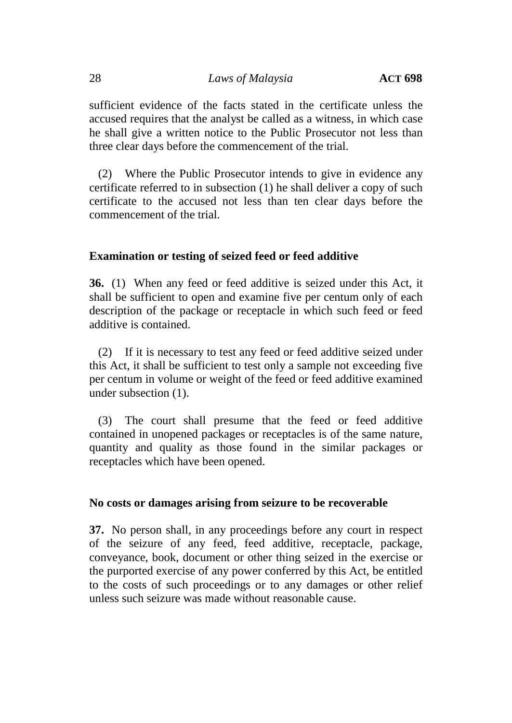sufficient evidence of the facts stated in the certificate unless the accused requires that the analyst be called as a witness, in which case he shall give a written notice to the Public Prosecutor not less than three clear days before the commencement of the trial.

(2) Where the Public Prosecutor intends to give in evidence any certificate referred to in subsection (1) he shall deliver a copy of such certificate to the accused not less than ten clear days before the commencement of the trial.

## **Examination or testing of seized feed or feed additive**

**36.** (1) When any feed or feed additive is seized under this Act, it shall be sufficient to open and examine five per centum only of each description of the package or receptacle in which such feed or feed additive is contained.

(2) If it is necessary to test any feed or feed additive seized under this Act, it shall be sufficient to test only a sample not exceeding five per centum in volume or weight of the feed or feed additive examined under subsection (1).

(3) The court shall presume that the feed or feed additive contained in unopened packages or receptacles is of the same nature, quantity and quality as those found in the similar packages or receptacles which have been opened.

## **No costs or damages arising from seizure to be recoverable**

**37.** No person shall, in any proceedings before any court in respect of the seizure of any feed, feed additive, receptacle, package, conveyance, book, document or other thing seized in the exercise or the purported exercise of any power conferred by this Act, be entitled to the costs of such proceedings or to any damages or other relief unless such seizure was made without reasonable cause.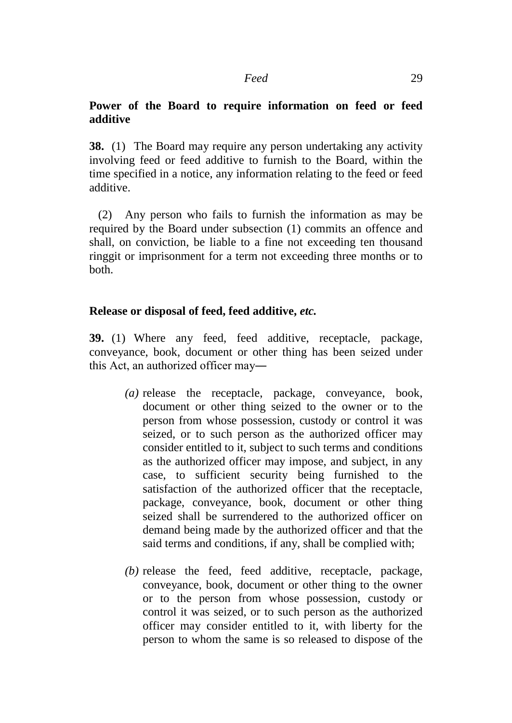## **Power of the Board to require information on feed or feed additive**

**38.** (1) The Board may require any person undertaking any activity involving feed or feed additive to furnish to the Board, within the time specified in a notice, any information relating to the feed or feed additive.

(2) Any person who fails to furnish the information as may be required by the Board under subsection (1) commits an offence and shall, on conviction, be liable to a fine not exceeding ten thousand ringgit or imprisonment for a term not exceeding three months or to both.

#### **Release or disposal of feed, feed additive,** *etc.*

**39.** (1) Where any feed, feed additive, receptacle, package, conveyance, book, document or other thing has been seized under this Act, an authorized officer may―

- *(a)* release the receptacle, package, conveyance, book, document or other thing seized to the owner or to the person from whose possession, custody or control it was seized, or to such person as the authorized officer may consider entitled to it, subject to such terms and conditions as the authorized officer may impose, and subject, in any case, to sufficient security being furnished to the satisfaction of the authorized officer that the receptacle, package, conveyance, book, document or other thing seized shall be surrendered to the authorized officer on demand being made by the authorized officer and that the said terms and conditions, if any, shall be complied with;
- *(b)* release the feed, feed additive, receptacle, package, conveyance, book, document or other thing to the owner or to the person from whose possession, custody or control it was seized, or to such person as the authorized officer may consider entitled to it, with liberty for the person to whom the same is so released to dispose of the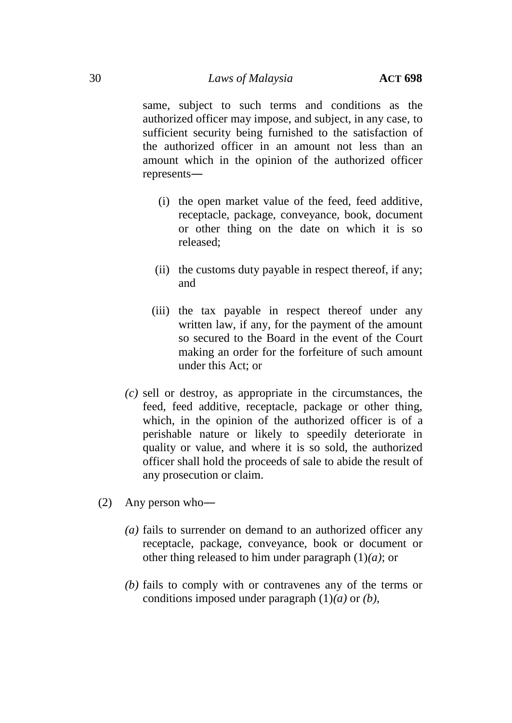same, subject to such terms and conditions as the authorized officer may impose, and subject, in any case, to sufficient security being furnished to the satisfaction of the authorized officer in an amount not less than an amount which in the opinion of the authorized officer represents―

- (i) the open market value of the feed, feed additive, receptacle, package, conveyance, book, document or other thing on the date on which it is so released;
- (ii) the customs duty payable in respect thereof, if any; and
- (iii) the tax payable in respect thereof under any written law, if any, for the payment of the amount so secured to the Board in the event of the Court making an order for the forfeiture of such amount under this Act; or
- *(c)* sell or destroy, as appropriate in the circumstances, the feed, feed additive, receptacle, package or other thing, which, in the opinion of the authorized officer is of a perishable nature or likely to speedily deteriorate in quality or value, and where it is so sold, the authorized officer shall hold the proceeds of sale to abide the result of any prosecution or claim.
- (2) Any person who―
	- *(a)* fails to surrender on demand to an authorized officer any receptacle, package, conveyance, book or document or other thing released to him under paragraph (1)*(a)*; or
	- *(b)* fails to comply with or contravenes any of the terms or conditions imposed under paragraph (1)*(a)* or *(b)*,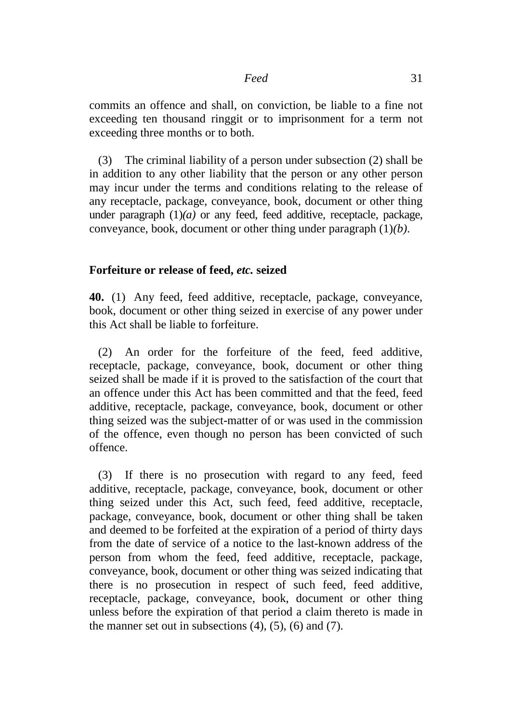commits an offence and shall, on conviction, be liable to a fine not exceeding ten thousand ringgit or to imprisonment for a term not exceeding three months or to both.

(3) The criminal liability of a person under subsection (2) shall be in addition to any other liability that the person or any other person may incur under the terms and conditions relating to the release of any receptacle, package, conveyance, book, document or other thing under paragraph  $(1)(a)$  or any feed, feed additive, receptacle, package, conveyance, book, document or other thing under paragraph (1)*(b)*.

#### **Forfeiture or release of feed,** *etc.* **seized**

**40.** (1) Any feed, feed additive, receptacle, package, conveyance, book, document or other thing seized in exercise of any power under this Act shall be liable to forfeiture.

(2) An order for the forfeiture of the feed, feed additive, receptacle, package, conveyance, book, document or other thing seized shall be made if it is proved to the satisfaction of the court that an offence under this Act has been committed and that the feed, feed additive, receptacle, package, conveyance, book, document or other thing seized was the subject-matter of or was used in the commission of the offence, even though no person has been convicted of such offence.

(3) If there is no prosecution with regard to any feed, feed additive, receptacle, package, conveyance, book, document or other thing seized under this Act, such feed, feed additive, receptacle, package, conveyance, book, document or other thing shall be taken and deemed to be forfeited at the expiration of a period of thirty days from the date of service of a notice to the last-known address of the person from whom the feed, feed additive, receptacle, package, conveyance, book, document or other thing was seized indicating that there is no prosecution in respect of such feed, feed additive, receptacle, package, conveyance, book, document or other thing unless before the expiration of that period a claim thereto is made in the manner set out in subsections  $(4)$ ,  $(5)$ ,  $(6)$  and  $(7)$ .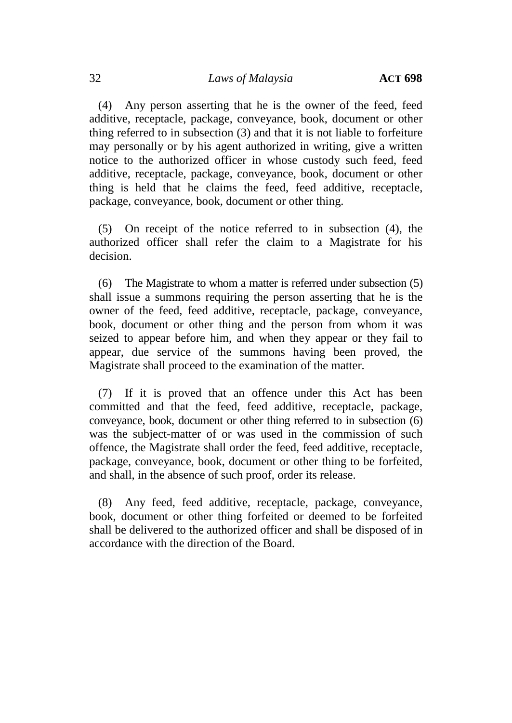(4) Any person asserting that he is the owner of the feed, feed additive, receptacle, package, conveyance, book, document or other thing referred to in subsection (3) and that it is not liable to forfeiture may personally or by his agent authorized in writing, give a written notice to the authorized officer in whose custody such feed, feed additive, receptacle, package, conveyance, book, document or other thing is held that he claims the feed, feed additive, receptacle, package, conveyance, book, document or other thing.

(5) On receipt of the notice referred to in subsection (4), the authorized officer shall refer the claim to a Magistrate for his decision.

(6) The Magistrate to whom a matter is referred under subsection (5) shall issue a summons requiring the person asserting that he is the owner of the feed, feed additive, receptacle, package, conveyance, book, document or other thing and the person from whom it was seized to appear before him, and when they appear or they fail to appear, due service of the summons having been proved, the Magistrate shall proceed to the examination of the matter.

(7) If it is proved that an offence under this Act has been committed and that the feed, feed additive, receptacle, package, conveyance, book, document or other thing referred to in subsection (6) was the subject-matter of or was used in the commission of such offence, the Magistrate shall order the feed, feed additive, receptacle, package, conveyance, book, document or other thing to be forfeited, and shall, in the absence of such proof, order its release.

(8) Any feed, feed additive, receptacle, package, conveyance, book, document or other thing forfeited or deemed to be forfeited shall be delivered to the authorized officer and shall be disposed of in accordance with the direction of the Board.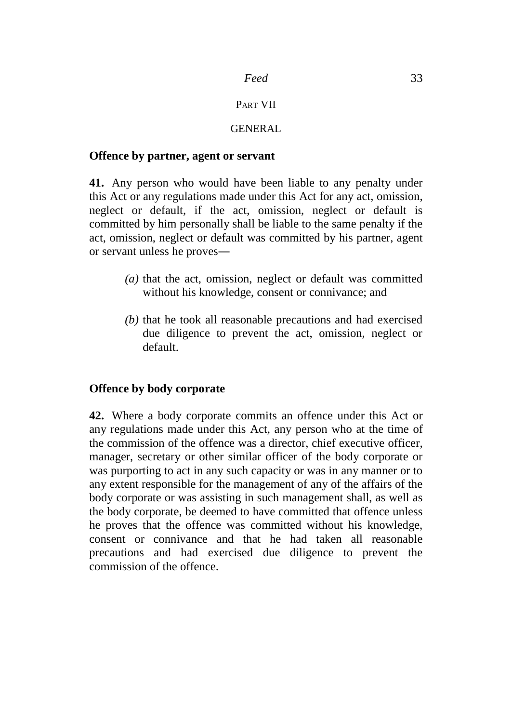#### PART VII

## GENERAL

#### **Offence by partner, agent or servant**

**41.** Any person who would have been liable to any penalty under this Act or any regulations made under this Act for any act, omission, neglect or default, if the act, omission, neglect or default is committed by him personally shall be liable to the same penalty if the act, omission, neglect or default was committed by his partner, agent or servant unless he proves―

- *(a)* that the act, omission, neglect or default was committed without his knowledge, consent or connivance; and
- *(b)* that he took all reasonable precautions and had exercised due diligence to prevent the act, omission, neglect or default.

## **Offence by body corporate**

**42.** Where a body corporate commits an offence under this Act or any regulations made under this Act, any person who at the time of the commission of the offence was a director, chief executive officer, manager, secretary or other similar officer of the body corporate or was purporting to act in any such capacity or was in any manner or to any extent responsible for the management of any of the affairs of the body corporate or was assisting in such management shall, as well as the body corporate, be deemed to have committed that offence unless he proves that the offence was committed without his knowledge, consent or connivance and that he had taken all reasonable precautions and had exercised due diligence to prevent the commission of the offence.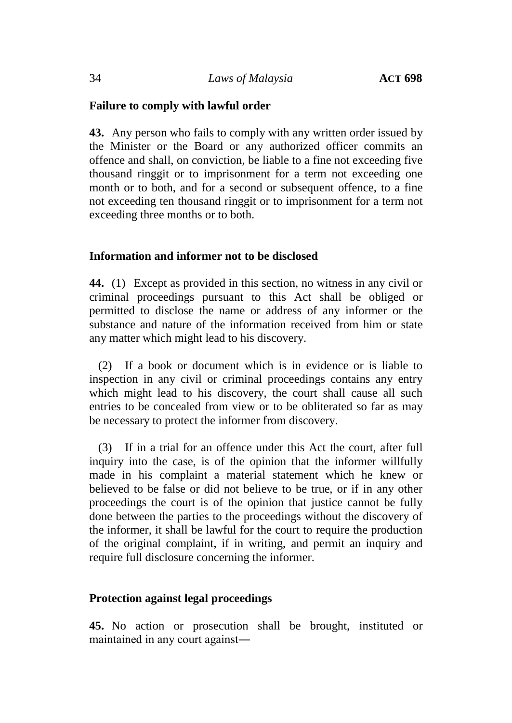## **Failure to comply with lawful order**

**43.** Any person who fails to comply with any written order issued by the Minister or the Board or any authorized officer commits an offence and shall, on conviction, be liable to a fine not exceeding five thousand ringgit or to imprisonment for a term not exceeding one month or to both, and for a second or subsequent offence, to a fine not exceeding ten thousand ringgit or to imprisonment for a term not exceeding three months or to both.

#### **Information and informer not to be disclosed**

**44.** (1) Except as provided in this section, no witness in any civil or criminal proceedings pursuant to this Act shall be obliged or permitted to disclose the name or address of any informer or the substance and nature of the information received from him or state any matter which might lead to his discovery.

(2) If a book or document which is in evidence or is liable to inspection in any civil or criminal proceedings contains any entry which might lead to his discovery, the court shall cause all such entries to be concealed from view or to be obliterated so far as may be necessary to protect the informer from discovery.

(3) If in a trial for an offence under this Act the court, after full inquiry into the case, is of the opinion that the informer willfully made in his complaint a material statement which he knew or believed to be false or did not believe to be true, or if in any other proceedings the court is of the opinion that justice cannot be fully done between the parties to the proceedings without the discovery of the informer, it shall be lawful for the court to require the production of the original complaint, if in writing, and permit an inquiry and require full disclosure concerning the informer.

#### **Protection against legal proceedings**

**45.** No action or prosecution shall be brought, instituted or maintained in any court against―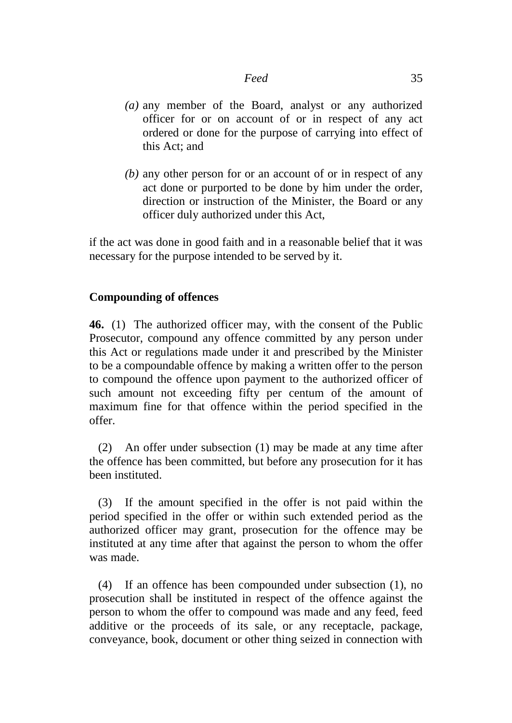- *(a)* any member of the Board, analyst or any authorized officer for or on account of or in respect of any act ordered or done for the purpose of carrying into effect of this Act; and
- *(b)* any other person for or an account of or in respect of any act done or purported to be done by him under the order, direction or instruction of the Minister, the Board or any officer duly authorized under this Act,

if the act was done in good faith and in a reasonable belief that it was necessary for the purpose intended to be served by it.

## **Compounding of offences**

**46.** (1) The authorized officer may, with the consent of the Public Prosecutor, compound any offence committed by any person under this Act or regulations made under it and prescribed by the Minister to be a compoundable offence by making a written offer to the person to compound the offence upon payment to the authorized officer of such amount not exceeding fifty per centum of the amount of maximum fine for that offence within the period specified in the offer.

(2) An offer under subsection (1) may be made at any time after the offence has been committed, but before any prosecution for it has been instituted.

(3) If the amount specified in the offer is not paid within the period specified in the offer or within such extended period as the authorized officer may grant, prosecution for the offence may be instituted at any time after that against the person to whom the offer was made.

(4) If an offence has been compounded under subsection (1), no prosecution shall be instituted in respect of the offence against the person to whom the offer to compound was made and any feed, feed additive or the proceeds of its sale, or any receptacle, package, conveyance, book, document or other thing seized in connection with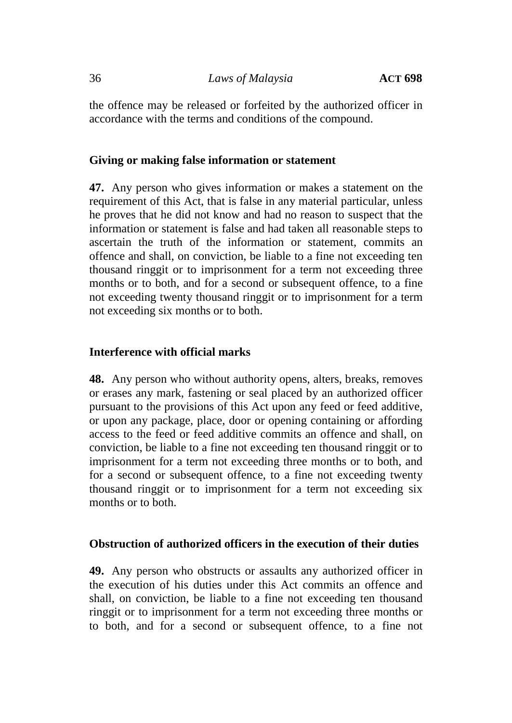the offence may be released or forfeited by the authorized officer in accordance with the terms and conditions of the compound.

#### **Giving or making false information or statement**

**47.** Any person who gives information or makes a statement on the requirement of this Act, that is false in any material particular, unless he proves that he did not know and had no reason to suspect that the information or statement is false and had taken all reasonable steps to ascertain the truth of the information or statement, commits an offence and shall, on conviction, be liable to a fine not exceeding ten thousand ringgit or to imprisonment for a term not exceeding three months or to both, and for a second or subsequent offence, to a fine not exceeding twenty thousand ringgit or to imprisonment for a term not exceeding six months or to both.

#### **Interference with official marks**

**48.** Any person who without authority opens, alters, breaks, removes or erases any mark, fastening or seal placed by an authorized officer pursuant to the provisions of this Act upon any feed or feed additive, or upon any package, place, door or opening containing or affording access to the feed or feed additive commits an offence and shall, on conviction, be liable to a fine not exceeding ten thousand ringgit or to imprisonment for a term not exceeding three months or to both, and for a second or subsequent offence, to a fine not exceeding twenty thousand ringgit or to imprisonment for a term not exceeding six months or to both.

#### **Obstruction of authorized officers in the execution of their duties**

**49.** Any person who obstructs or assaults any authorized officer in the execution of his duties under this Act commits an offence and shall, on conviction, be liable to a fine not exceeding ten thousand ringgit or to imprisonment for a term not exceeding three months or to both, and for a second or subsequent offence, to a fine not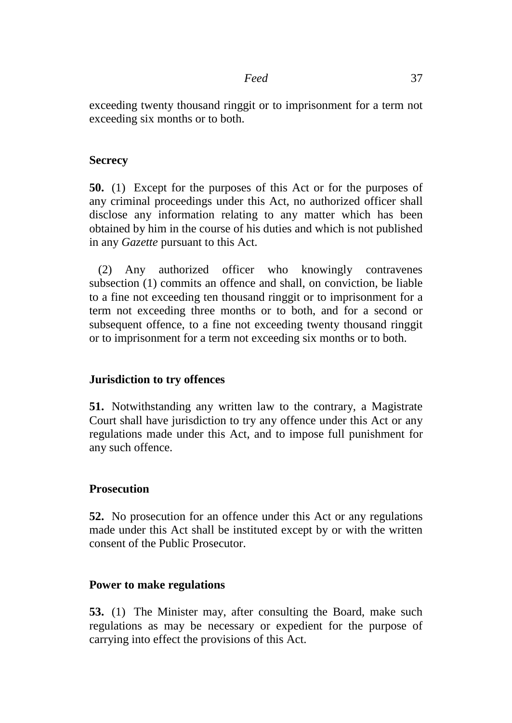exceeding twenty thousand ringgit or to imprisonment for a term not exceeding six months or to both.

## **Secrecy**

**50.** (1) Except for the purposes of this Act or for the purposes of any criminal proceedings under this Act, no authorized officer shall disclose any information relating to any matter which has been obtained by him in the course of his duties and which is not published in any *Gazette* pursuant to this Act.

(2) Any authorized officer who knowingly contravenes subsection (1) commits an offence and shall, on conviction, be liable to a fine not exceeding ten thousand ringgit or to imprisonment for a term not exceeding three months or to both, and for a second or subsequent offence, to a fine not exceeding twenty thousand ringgit or to imprisonment for a term not exceeding six months or to both.

## **Jurisdiction to try offences**

**51.** Notwithstanding any written law to the contrary, a Magistrate Court shall have jurisdiction to try any offence under this Act or any regulations made under this Act, and to impose full punishment for any such offence.

## **Prosecution**

**52.** No prosecution for an offence under this Act or any regulations made under this Act shall be instituted except by or with the written consent of the Public Prosecutor.

## **Power to make regulations**

**53.** (1) The Minister may, after consulting the Board, make such regulations as may be necessary or expedient for the purpose of carrying into effect the provisions of this Act.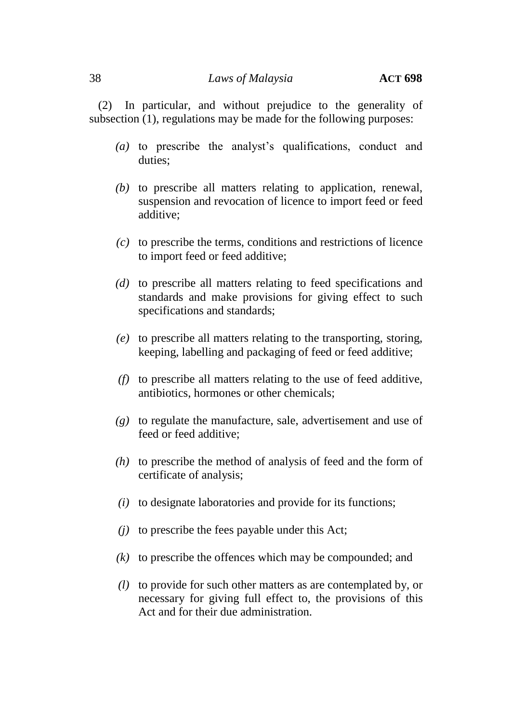(2) In particular, and without prejudice to the generality of subsection (1), regulations may be made for the following purposes:

- *(a)* to prescribe the analyst's qualifications, conduct and duties;
- *(b)* to prescribe all matters relating to application, renewal, suspension and revocation of licence to import feed or feed additive;
- *(c)* to prescribe the terms, conditions and restrictions of licence to import feed or feed additive;
- *(d)* to prescribe all matters relating to feed specifications and standards and make provisions for giving effect to such specifications and standards;
- *(e)* to prescribe all matters relating to the transporting, storing, keeping, labelling and packaging of feed or feed additive;
- *(f)* to prescribe all matters relating to the use of feed additive, antibiotics, hormones or other chemicals;
- *(g)* to regulate the manufacture, sale, advertisement and use of feed or feed additive;
- *(h)* to prescribe the method of analysis of feed and the form of certificate of analysis;
- *(i)* to designate laboratories and provide for its functions;
- *(j)* to prescribe the fees payable under this Act;
- *(k)* to prescribe the offences which may be compounded; and
- *(l)* to provide for such other matters as are contemplated by, or necessary for giving full effect to, the provisions of this Act and for their due administration.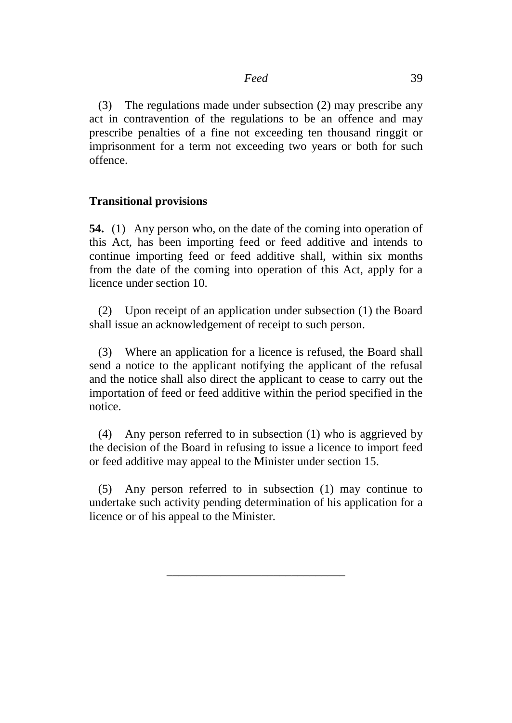(3) The regulations made under subsection (2) may prescribe any act in contravention of the regulations to be an offence and may prescribe penalties of a fine not exceeding ten thousand ringgit or imprisonment for a term not exceeding two years or both for such offence.

## **Transitional provisions**

**54.** (1) Any person who, on the date of the coming into operation of this Act, has been importing feed or feed additive and intends to continue importing feed or feed additive shall, within six months from the date of the coming into operation of this Act, apply for a licence under section 10.

(2) Upon receipt of an application under subsection (1) the Board shall issue an acknowledgement of receipt to such person.

(3) Where an application for a licence is refused, the Board shall send a notice to the applicant notifying the applicant of the refusal and the notice shall also direct the applicant to cease to carry out the importation of feed or feed additive within the period specified in the notice.

(4) Any person referred to in subsection (1) who is aggrieved by the decision of the Board in refusing to issue a licence to import feed or feed additive may appeal to the Minister under section 15.

(5) Any person referred to in subsection (1) may continue to undertake such activity pending determination of his application for a licence or of his appeal to the Minister.

\_\_\_\_\_\_\_\_\_\_\_\_\_\_\_\_\_\_\_\_\_\_\_\_\_\_\_\_\_\_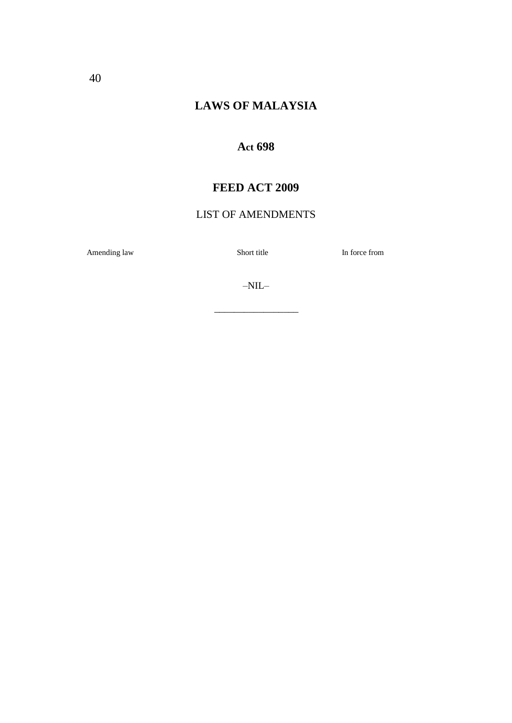# **LAWS OF MALAYSIA**

## **Act 698**

## **FEED ACT 2009**

## LIST OF AMENDMENTS

Amending law Short title In force from

–NIL–

 $\frac{1}{\sqrt{2}}$  ,  $\frac{1}{\sqrt{2}}$  ,  $\frac{1}{\sqrt{2}}$  ,  $\frac{1}{\sqrt{2}}$  ,  $\frac{1}{\sqrt{2}}$  ,  $\frac{1}{\sqrt{2}}$  ,  $\frac{1}{\sqrt{2}}$  ,  $\frac{1}{\sqrt{2}}$  ,  $\frac{1}{\sqrt{2}}$  ,  $\frac{1}{\sqrt{2}}$  ,  $\frac{1}{\sqrt{2}}$  ,  $\frac{1}{\sqrt{2}}$  ,  $\frac{1}{\sqrt{2}}$  ,  $\frac{1}{\sqrt{2}}$  ,  $\frac{1}{\sqrt{2}}$